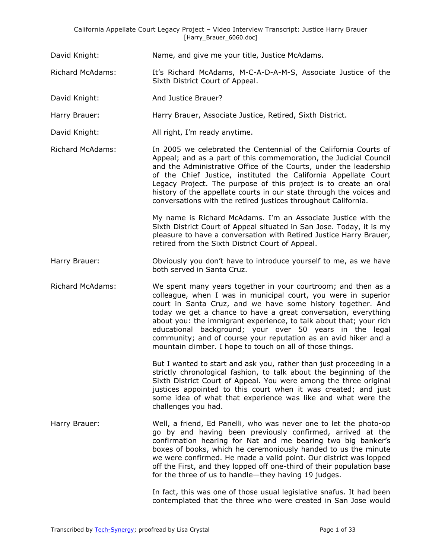David Knight: Name, and give me your title, Justice McAdams.

Richard McAdams: It's Richard McAdams, M-C-A-D-A-M-S, Associate Justice of the Sixth District Court of Appeal.

David Knight: And Justice Brauer?

Harry Brauer: Harry Brauer, Associate Justice, Retired, Sixth District.

David Knight: All right, I'm ready anytime.

Richard McAdams: In 2005 we celebrated the Centennial of the California Courts of Appeal; and as a part of this commemoration, the Judicial Council and the Administrative Office of the Courts, under the leadership of the Chief Justice, instituted the California Appellate Court Legacy Project. The purpose of this project is to create an oral history of the appellate courts in our state through the voices and conversations with the retired justices throughout California.

> My name is Richard McAdams. I'm an Associate Justice with the Sixth District Court of Appeal situated in San Jose. Today, it is my pleasure to have a conversation with Retired Justice Harry Brauer, retired from the Sixth District Court of Appeal.

Harry Brauer: Obviously you don't have to introduce yourself to me, as we have both served in Santa Cruz.

Richard McAdams: We spent many years together in your courtroom; and then as a colleague, when I was in municipal court, you were in superior court in Santa Cruz, and we have some history together. And today we get a chance to have a great conversation, everything about you: the immigrant experience, to talk about that; your rich educational background; your over 50 years in the legal community; and of course your reputation as an avid hiker and a mountain climber. I hope to touch on all of those things.

> But I wanted to start and ask you, rather than just proceeding in a strictly chronological fashion, to talk about the beginning of the Sixth District Court of Appeal. You were among the three original justices appointed to this court when it was created; and just some idea of what that experience was like and what were the challenges you had.

Harry Brauer: Well, a friend, Ed Panelli, who was never one to let the photo-op go by and having been previously confirmed, arrived at the confirmation hearing for Nat and me bearing two big banker's boxes of books, which he ceremoniously handed to us the minute we were confirmed. He made a valid point. Our district was lopped off the First, and they lopped off one-third of their population base for the three of us to handle—they having 19 judges.

> In fact, this was one of those usual legislative snafus. It had been contemplated that the three who were created in San Jose would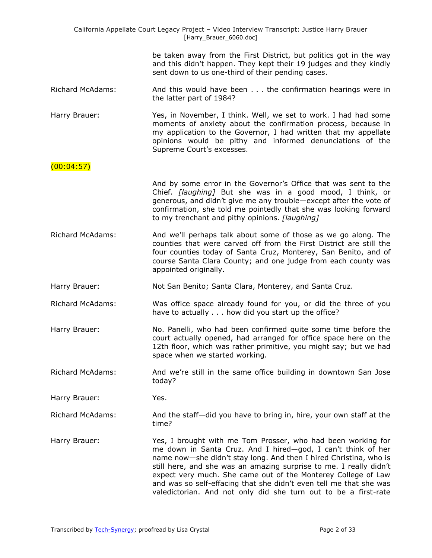| California Appellate Court Legacy Project - Video Interview Transcript: Justice Harry Brauer<br>[Harry_Brauer_6060.doc] |                                                                                                                                                                                                                                                                                                                                                                                                                                                                                   |  |
|-------------------------------------------------------------------------------------------------------------------------|-----------------------------------------------------------------------------------------------------------------------------------------------------------------------------------------------------------------------------------------------------------------------------------------------------------------------------------------------------------------------------------------------------------------------------------------------------------------------------------|--|
|                                                                                                                         | be taken away from the First District, but politics got in the way<br>and this didn't happen. They kept their 19 judges and they kindly<br>sent down to us one-third of their pending cases.                                                                                                                                                                                                                                                                                      |  |
| <b>Richard McAdams:</b>                                                                                                 | And this would have been the confirmation hearings were in<br>the latter part of 1984?                                                                                                                                                                                                                                                                                                                                                                                            |  |
| Harry Brauer:                                                                                                           | Yes, in November, I think. Well, we set to work. I had had some<br>moments of anxiety about the confirmation process, because in<br>my application to the Governor, I had written that my appellate<br>opinions would be pithy and informed denunciations of the<br>Supreme Court's excesses.                                                                                                                                                                                     |  |
| (00:04:57)                                                                                                              |                                                                                                                                                                                                                                                                                                                                                                                                                                                                                   |  |
|                                                                                                                         | And by some error in the Governor's Office that was sent to the<br>Chief. [laughing] But she was in a good mood, I think, or<br>generous, and didn't give me any trouble-except after the vote of<br>confirmation, she told me pointedly that she was looking forward<br>to my trenchant and pithy opinions. [laughing]                                                                                                                                                           |  |
| <b>Richard McAdams:</b>                                                                                                 | And we'll perhaps talk about some of those as we go along. The<br>counties that were carved off from the First District are still the<br>four counties today of Santa Cruz, Monterey, San Benito, and of<br>course Santa Clara County; and one judge from each county was<br>appointed originally.                                                                                                                                                                                |  |
| Harry Brauer:                                                                                                           | Not San Benito; Santa Clara, Monterey, and Santa Cruz.                                                                                                                                                                                                                                                                                                                                                                                                                            |  |
| <b>Richard McAdams:</b>                                                                                                 | Was office space already found for you, or did the three of you<br>have to actually how did you start up the office?                                                                                                                                                                                                                                                                                                                                                              |  |
| Harry Brauer:                                                                                                           | No. Panelli, who had been confirmed quite some time before the<br>court actually opened, had arranged for office space here on the<br>12th floor, which was rather primitive, you might say; but we had<br>space when we started working.                                                                                                                                                                                                                                         |  |
| <b>Richard McAdams:</b>                                                                                                 | And we're still in the same office building in downtown San Jose<br>today?                                                                                                                                                                                                                                                                                                                                                                                                        |  |
| Harry Brauer:                                                                                                           | Yes.                                                                                                                                                                                                                                                                                                                                                                                                                                                                              |  |
| <b>Richard McAdams:</b>                                                                                                 | And the staff-did you have to bring in, hire, your own staff at the<br>time?                                                                                                                                                                                                                                                                                                                                                                                                      |  |
| Harry Brauer:                                                                                                           | Yes, I brought with me Tom Prosser, who had been working for<br>me down in Santa Cruz. And I hired-god, I can't think of her<br>name now-she didn't stay long. And then I hired Christina, who is<br>still here, and she was an amazing surprise to me. I really didn't<br>expect very much. She came out of the Monterey College of Law<br>and was so self-effacing that she didn't even tell me that she was<br>valedictorian. And not only did she turn out to be a first-rate |  |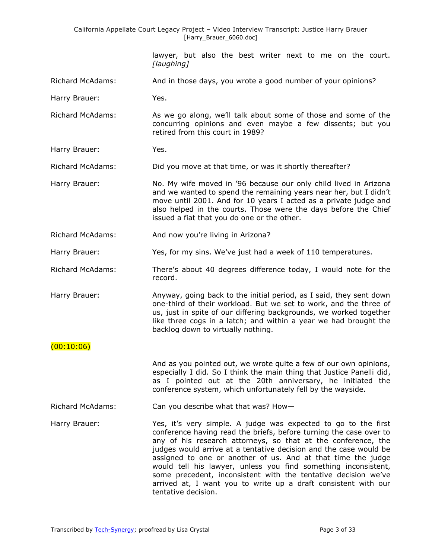California Appellate Court Legacy Project – Video Interview Transcript: Justice Harry Brauer [Harry\_Brauer\_6060.doc]

> lawyer, but also the best writer next to me on the court. *[laughing]*

Richard McAdams: And in those days, you wrote a good number of your opinions?

Harry Brauer: Yes.

Richard McAdams: As we go along, we'll talk about some of those and some of the concurring opinions and even maybe a few dissents; but you retired from this court in 1989?

Harry Brauer: Yes.

Richard McAdams: Did you move at that time, or was it shortly thereafter?

Harry Brauer: No. My wife moved in '96 because our only child lived in Arizona and we wanted to spend the remaining years near her, but I didn't move until 2001. And for 10 years I acted as a private judge and also helped in the courts. Those were the days before the Chief issued a fiat that you do one or the other.

Richard McAdams: And now you're living in Arizona?

Harry Brauer: Yes, for my sins. We've just had a week of 110 temperatures.

Richard McAdams: There's about 40 degrees difference today, I would note for the record.

Harry Brauer: Anyway, going back to the initial period, as I said, they sent down one-third of their workload. But we set to work, and the three of us, just in spite of our differing backgrounds, we worked together like three cogs in a latch; and within a year we had brought the backlog down to virtually nothing.

 $(00:10:06)$ 

And as you pointed out, we wrote quite a few of our own opinions, especially I did. So I think the main thing that Justice Panelli did, as I pointed out at the 20th anniversary, he initiated the conference system, which unfortunately fell by the wayside.

Richard McAdams: Can you describe what that was? How—

Harry Brauer: Yes, it's very simple. A judge was expected to go to the first conference having read the briefs, before turning the case over to any of his research attorneys, so that at the conference, the judges would arrive at a tentative decision and the case would be assigned to one or another of us. And at that time the judge would tell his lawyer, unless you find something inconsistent, some precedent, inconsistent with the tentative decision we've arrived at, I want you to write up a draft consistent with our tentative decision.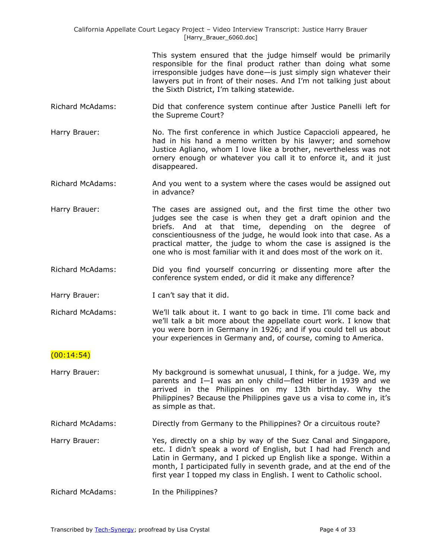| California Appellate Court Legacy Project – Video Interview Transcript: Justice Harry Brauer |  |
|----------------------------------------------------------------------------------------------|--|
| [Harry Brauer 6060.doc]                                                                      |  |

This system ensured that the judge himself would be primarily responsible for the final product rather than doing what some irresponsible judges have done—is just simply sign whatever their lawyers put in front of their noses. And I'm not talking just about the Sixth District, I'm talking statewide.

- Richard McAdams: Did that conference system continue after Justice Panelli left for the Supreme Court?
- Harry Brauer: No. The first conference in which Justice Capaccioli appeared, he had in his hand a memo written by his lawyer; and somehow Justice Agliano, whom I love like a brother, nevertheless was not ornery enough or whatever you call it to enforce it, and it just disappeared.
- Richard McAdams: And you went to a system where the cases would be assigned out in advance?
- Harry Brauer: The cases are assigned out, and the first time the other two judges see the case is when they get a draft opinion and the briefs. And at that time, depending on the degree of conscientiousness of the judge, he would look into that case. As a practical matter, the judge to whom the case is assigned is the one who is most familiar with it and does most of the work on it.
- Richard McAdams: Did you find yourself concurring or dissenting more after the conference system ended, or did it make any difference?
- Harry Brauer: I can't say that it did.
- Richard McAdams: We'll talk about it. I want to go back in time. I'll come back and we'll talk a bit more about the appellate court work. I know that you were born in Germany in 1926; and if you could tell us about your experiences in Germany and, of course, coming to America.

### $(00:14:54)$

Harry Brauer: My background is somewhat unusual, I think, for a judge. We, my parents and I—I was an only child—fled Hitler in 1939 and we arrived in the Philippines on my 13th birthday. Why the Philippines? Because the Philippines gave us a visa to come in, it's as simple as that.

Richard McAdams: Directly from Germany to the Philippines? Or a circuitous route?

Harry Brauer: Yes, directly on a ship by way of the Suez Canal and Singapore, etc. I didn't speak a word of English, but I had had French and Latin in Germany, and I picked up English like a sponge. Within a month, I participated fully in seventh grade, and at the end of the first year I topped my class in English. I went to Catholic school.

Richard McAdams: In the Philippines?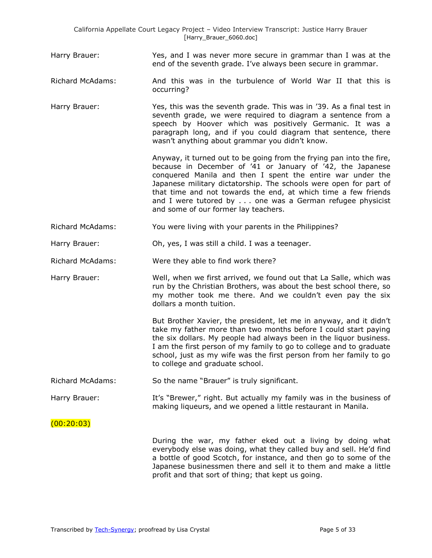Harry Brauer: Yes, and I was never more secure in grammar than I was at the end of the seventh grade. I've always been secure in grammar.

Richard McAdams: And this was in the turbulence of World War II that this is occurring?

Harry Brauer: Yes, this was the seventh grade. This was in '39. As a final test in seventh grade, we were required to diagram a sentence from a speech by Hoover which was positively Germanic. It was a paragraph long, and if you could diagram that sentence, there wasn't anything about grammar you didn't know.

> Anyway, it turned out to be going from the frying pan into the fire, because in December of '41 or January of '42, the Japanese conquered Manila and then I spent the entire war under the Japanese military dictatorship. The schools were open for part of that time and not towards the end, at which time a few friends and I were tutored by . . . one was a German refugee physicist and some of our former lay teachers.

Richard McAdams: You were living with your parents in the Philippines?

Harry Brauer: Oh, yes, I was still a child. I was a teenager.

Richard McAdams: Were they able to find work there?

Harry Brauer: Well, when we first arrived, we found out that La Salle, which was run by the Christian Brothers, was about the best school there, so my mother took me there. And we couldn't even pay the six dollars a month tuition.

> But Brother Xavier, the president, let me in anyway, and it didn't take my father more than two months before I could start paying the six dollars. My people had always been in the liquor business. I am the first person of my family to go to college and to graduate school, just as my wife was the first person from her family to go to college and graduate school.

Richard McAdams: So the name "Brauer" is truly significant.

Harry Brauer: It's "Brewer," right. But actually my family was in the business of making liqueurs, and we opened a little restaurant in Manila.

 $(00:20:03)$ 

During the war, my father eked out a living by doing what everybody else was doing, what they called buy and sell. He'd find a bottle of good Scotch, for instance, and then go to some of the Japanese businessmen there and sell it to them and make a little profit and that sort of thing; that kept us going.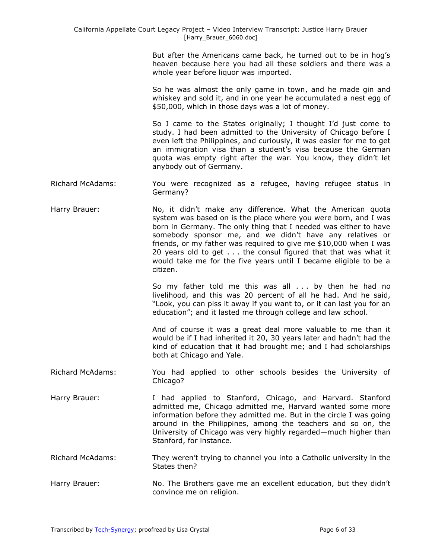But after the Americans came back, he turned out to be in hog's heaven because here you had all these soldiers and there was a whole year before liquor was imported.

So he was almost the only game in town, and he made gin and whiskey and sold it, and in one year he accumulated a nest egg of \$50,000, which in those days was a lot of money.

So I came to the States originally; I thought I'd just come to study. I had been admitted to the University of Chicago before I even left the Philippines, and curiously, it was easier for me to get an immigration visa than a student's visa because the German quota was empty right after the war. You know, they didn't let anybody out of Germany.

Richard McAdams: You were recognized as a refugee, having refugee status in Germany?

Harry Brauer: No, it didn't make any difference. What the American quota system was based on is the place where you were born, and I was born in Germany. The only thing that I needed was either to have somebody sponsor me, and we didn't have any relatives or friends, or my father was required to give me \$10,000 when I was 20 years old to get . . . the consul figured that that was what it would take me for the five years until I became eligible to be a citizen.

> So my father told me this was all . . . by then he had no livelihood, and this was 20 percent of all he had. And he said, "Look, you can piss it away if you want to, or it can last you for an education"; and it lasted me through college and law school.

> And of course it was a great deal more valuable to me than it would be if I had inherited it 20, 30 years later and hadn't had the kind of education that it had brought me; and I had scholarships both at Chicago and Yale.

Richard McAdams: You had applied to other schools besides the University of Chicago?

Harry Brauer: I had applied to Stanford, Chicago, and Harvard. Stanford admitted me, Chicago admitted me, Harvard wanted some more information before they admitted me. But in the circle I was going around in the Philippines, among the teachers and so on, the University of Chicago was very highly regarded—much higher than Stanford, for instance.

Richard McAdams: They weren't trying to channel you into a Catholic university in the States then?

Harry Brauer: No. The Brothers gave me an excellent education, but they didn't convince me on religion.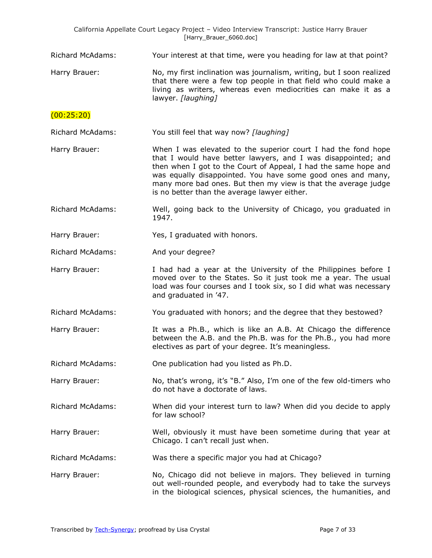| California Appellate Court Legacy Project - Video Interview Transcript: Justice Harry Brauer<br>[Harry_Brauer_6060.doc] |                                                                                                                                                                                                                                                                                                                                                                                    |  |
|-------------------------------------------------------------------------------------------------------------------------|------------------------------------------------------------------------------------------------------------------------------------------------------------------------------------------------------------------------------------------------------------------------------------------------------------------------------------------------------------------------------------|--|
| <b>Richard McAdams:</b>                                                                                                 | Your interest at that time, were you heading for law at that point?                                                                                                                                                                                                                                                                                                                |  |
| Harry Brauer:                                                                                                           | No, my first inclination was journalism, writing, but I soon realized<br>that there were a few top people in that field who could make a<br>living as writers, whereas even mediocrities can make it as a<br>lawyer. [laughing]                                                                                                                                                    |  |
| (00:25:20)                                                                                                              |                                                                                                                                                                                                                                                                                                                                                                                    |  |
| <b>Richard McAdams:</b>                                                                                                 | You still feel that way now? [laughing]                                                                                                                                                                                                                                                                                                                                            |  |
| Harry Brauer:                                                                                                           | When I was elevated to the superior court I had the fond hope<br>that I would have better lawyers, and I was disappointed; and<br>then when I got to the Court of Appeal, I had the same hope and<br>was equally disappointed. You have some good ones and many,<br>many more bad ones. But then my view is that the average judge<br>is no better than the average lawyer either. |  |
| <b>Richard McAdams:</b>                                                                                                 | Well, going back to the University of Chicago, you graduated in<br>1947.                                                                                                                                                                                                                                                                                                           |  |
| Harry Brauer:                                                                                                           | Yes, I graduated with honors.                                                                                                                                                                                                                                                                                                                                                      |  |
| <b>Richard McAdams:</b>                                                                                                 | And your degree?                                                                                                                                                                                                                                                                                                                                                                   |  |
| Harry Brauer:                                                                                                           | I had had a year at the University of the Philippines before I<br>moved over to the States. So it just took me a year. The usual<br>load was four courses and I took six, so I did what was necessary<br>and graduated in '47.                                                                                                                                                     |  |
| <b>Richard McAdams:</b>                                                                                                 | You graduated with honors; and the degree that they bestowed?                                                                                                                                                                                                                                                                                                                      |  |
| Harry Brauer:                                                                                                           | It was a Ph.B., which is like an A.B. At Chicago the difference<br>between the A.B. and the Ph.B. was for the Ph.B., you had more<br>electives as part of your degree. It's meaningless.                                                                                                                                                                                           |  |
| <b>Richard McAdams:</b>                                                                                                 | One publication had you listed as Ph.D.                                                                                                                                                                                                                                                                                                                                            |  |
| Harry Brauer:                                                                                                           | No, that's wrong, it's "B." Also, I'm one of the few old-timers who<br>do not have a doctorate of laws.                                                                                                                                                                                                                                                                            |  |
| <b>Richard McAdams:</b>                                                                                                 | When did your interest turn to law? When did you decide to apply<br>for law school?                                                                                                                                                                                                                                                                                                |  |
| Harry Brauer:                                                                                                           | Well, obviously it must have been sometime during that year at<br>Chicago. I can't recall just when.                                                                                                                                                                                                                                                                               |  |
| <b>Richard McAdams:</b>                                                                                                 | Was there a specific major you had at Chicago?                                                                                                                                                                                                                                                                                                                                     |  |
| Harry Brauer:                                                                                                           | No, Chicago did not believe in majors. They believed in turning<br>out well-rounded people, and everybody had to take the surveys<br>in the biological sciences, physical sciences, the humanities, and                                                                                                                                                                            |  |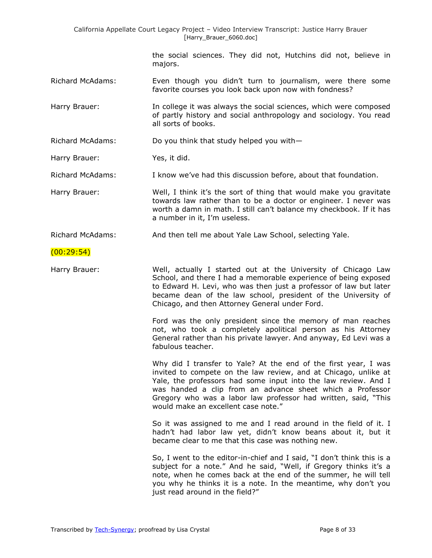| California Appellate Court Legacy Project - Video Interview Transcript: Justice Harry Brauer<br>[Harry_Brauer_6060.doc] |                                                                                                                                                                                                                                                                                                                                                                            |  |
|-------------------------------------------------------------------------------------------------------------------------|----------------------------------------------------------------------------------------------------------------------------------------------------------------------------------------------------------------------------------------------------------------------------------------------------------------------------------------------------------------------------|--|
|                                                                                                                         | the social sciences. They did not, Hutchins did not, believe in<br>majors.                                                                                                                                                                                                                                                                                                 |  |
| <b>Richard McAdams:</b>                                                                                                 | Even though you didn't turn to journalism, were there some<br>favorite courses you look back upon now with fondness?                                                                                                                                                                                                                                                       |  |
| Harry Brauer:                                                                                                           | In college it was always the social sciences, which were composed<br>of partly history and social anthropology and sociology. You read<br>all sorts of books.                                                                                                                                                                                                              |  |
| <b>Richard McAdams:</b>                                                                                                 | Do you think that study helped you with-                                                                                                                                                                                                                                                                                                                                   |  |
| Harry Brauer:                                                                                                           | Yes, it did.                                                                                                                                                                                                                                                                                                                                                               |  |
| <b>Richard McAdams:</b>                                                                                                 | I know we've had this discussion before, about that foundation.                                                                                                                                                                                                                                                                                                            |  |
| Harry Brauer:                                                                                                           | Well, I think it's the sort of thing that would make you gravitate<br>towards law rather than to be a doctor or engineer. I never was<br>worth a damn in math. I still can't balance my checkbook. If it has<br>a number in it, I'm useless.                                                                                                                               |  |
| <b>Richard McAdams:</b>                                                                                                 | And then tell me about Yale Law School, selecting Yale.                                                                                                                                                                                                                                                                                                                    |  |
| (00:29:54)                                                                                                              |                                                                                                                                                                                                                                                                                                                                                                            |  |
| Harry Brauer:                                                                                                           | Well, actually I started out at the University of Chicago Law<br>School, and there I had a memorable experience of being exposed<br>to Edward H. Levi, who was then just a professor of law but later<br>became dean of the law school, president of the University of<br>Chicago, and then Attorney General under Ford.                                                   |  |
|                                                                                                                         | Ford was the only president since the memory of man reaches<br>not, who took a completely apolitical person as his Attorney<br>General rather than his private lawyer. And anyway, Ed Levi was a<br>fabulous teacher.                                                                                                                                                      |  |
|                                                                                                                         | Why did I transfer to Yale? At the end of the first year, I was<br>invited to compete on the law review, and at Chicago, unlike at<br>Yale, the professors had some input into the law review. And I<br>was handed a clip from an advance sheet which a Professor<br>Gregory who was a labor law professor had written, said, "This<br>would make an excellent case note." |  |
|                                                                                                                         | So it was assigned to me and I read around in the field of it. I<br>hadn't had labor law yet, didn't know beans about it, but it<br>became clear to me that this case was nothing new.                                                                                                                                                                                     |  |
|                                                                                                                         | So, I went to the editor-in-chief and I said, "I don't think this is a<br>subject for a note." And he said, "Well, if Gregory thinks it's a<br>note, when he comes back at the end of the summer, he will tell<br>you why he thinks it is a note. In the meantime, why don't you<br>just read around in the field?"                                                        |  |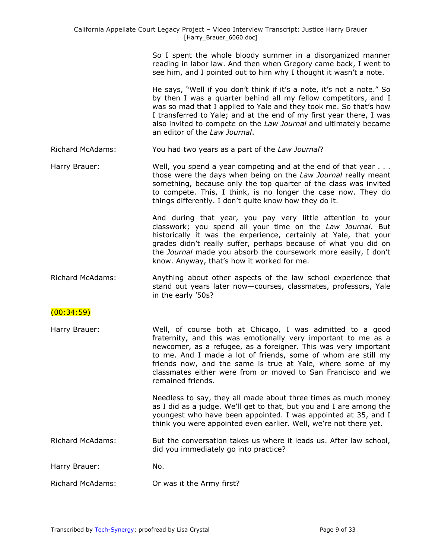So I spent the whole bloody summer in a disorganized manner reading in labor law. And then when Gregory came back, I went to see him, and I pointed out to him why I thought it wasn't a note.

He says, "Well if you don't think if it's a note, it's not a note." So by then I was a quarter behind all my fellow competitors, and I was so mad that I applied to Yale and they took me. So that's how I transferred to Yale; and at the end of my first year there, I was also invited to compete on the *Law Journal* and ultimately became an editor of the *Law Journal*.

Richard McAdams: You had two years as a part of the *Law Journal*?

Harry Brauer: Well, you spend a year competing and at the end of that year . . . those were the days when being on the *Law Journal* really meant something, because only the top quarter of the class was invited to compete. This, I think, is no longer the case now. They do things differently. I don't quite know how they do it.

> And during that year, you pay very little attention to your classwork; you spend all your time on the *Law Journal*. But historically it was the experience, certainly at Yale, that your grades didn't really suffer, perhaps because of what you did on the *Journal* made you absorb the coursework more easily, I don't know. Anyway, that's how it worked for me.

Richard McAdams: Anything about other aspects of the law school experience that stand out years later now—courses, classmates, professors, Yale in the early '50s?

# (00:34:59)

Harry Brauer: Well, of course both at Chicago, I was admitted to a good fraternity, and this was emotionally very important to me as a newcomer, as a refugee, as a foreigner. This was very important to me. And I made a lot of friends, some of whom are still my friends now, and the same is true at Yale, where some of my classmates either were from or moved to San Francisco and we remained friends.

> Needless to say, they all made about three times as much money as I did as a judge. We'll get to that, but you and I are among the youngest who have been appointed. I was appointed at 35, and I think you were appointed even earlier. Well, we're not there yet.

Richard McAdams: But the conversation takes us where it leads us. After law school, did you immediately go into practice?

Harry Brauer: No.

Richard McAdams: Or was it the Army first?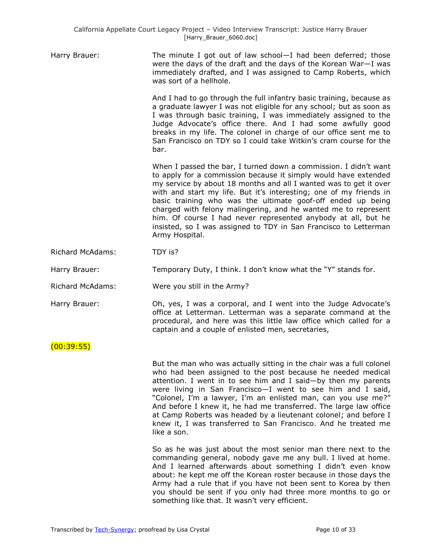| Harry Brauer: | The minute I got out of law school $-I$ had been deferred; those<br>were the days of the draft and the days of the Korean War-I was<br>immediately drafted, and I was assigned to Camp Roberts, which<br>was sort of a hellhole.                                                                                                                                                                                                                                                                                                                                       |
|---------------|------------------------------------------------------------------------------------------------------------------------------------------------------------------------------------------------------------------------------------------------------------------------------------------------------------------------------------------------------------------------------------------------------------------------------------------------------------------------------------------------------------------------------------------------------------------------|
|               | And I had to go through the full infantry basic training, because as<br>a graduate lawyer I was not eligible for any school; but as soon as<br>I was through basic training, I was immediately assigned to the<br>Judge Advocate's office there. And I had some awfully good<br>breaks in my life. The colonel in charge of our office sent me to<br>San Francisco on TDY so I could take Witkin's cram course for the<br>bar.                                                                                                                                         |
|               | When I passed the bar, I turned down a commission. I didn't want<br>to apply for a commission because it simply would have extended<br>my service by about 18 months and all I wanted was to get it over<br>with and start my life. But it's interesting; one of my friends in<br>basic training who was the ultimate goof-off ended up being<br>charged with felony malingering, and he wanted me to represent<br>him. Of course I had never represented anybody at all, but he<br>insisted, so I was assigned to TDY in San Francisco to Letterman<br>Army Hospital. |

Richard McAdams: TDY is?

Harry Brauer: Temporary Duty, I think. I don't know what the "Y" stands for.

- Richard McAdams: Were you still in the Army?
- 

Harry Brauer: Oh, yes, I was a corporal, and I went into the Judge Advocate's office at Letterman. Letterman was a separate command at the procedural, and here was this little law office which called for a captain and a couple of enlisted men, secretaries,

(00:39:55)

But the man who was actually sitting in the chair was a full colonel who had been assigned to the post because he needed medical attention. I went in to see him and I said—by then my parents were living in San Francisco—I went to see him and I said, "Colonel, I'm a lawyer, I'm an enlisted man, can you use me?" And before I knew it, he had me transferred. The large law office at Camp Roberts was headed by a lieutenant colonel; and before I knew it, I was transferred to San Francisco. And he treated me like a son.

So as he was just about the most senior man there next to the commanding general, nobody gave me any bull. I lived at home. And I learned afterwards about something I didn't even know about: he kept me off the Korean roster because in those days the Army had a rule that if you have not been sent to Korea by then you should be sent if you only had three more months to go or something like that. It wasn't very efficient.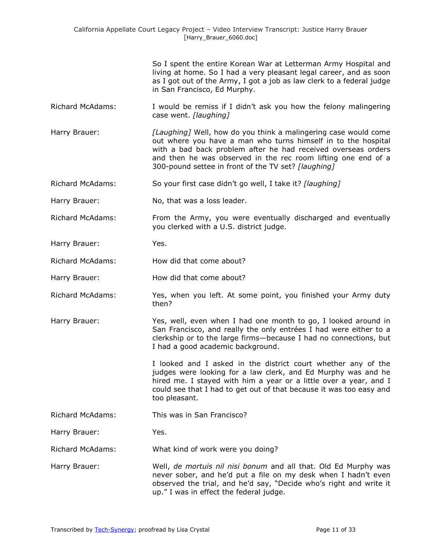|                         | So I spent the entire Korean War at Letterman Army Hospital and<br>living at home. So I had a very pleasant legal career, and as soon<br>as I got out of the Army, I got a job as law clerk to a federal judge<br>in San Francisco, Ed Murphy.                                                                            |
|-------------------------|---------------------------------------------------------------------------------------------------------------------------------------------------------------------------------------------------------------------------------------------------------------------------------------------------------------------------|
| <b>Richard McAdams:</b> | I would be remiss if I didn't ask you how the felony malingering<br>case went. [laughing]                                                                                                                                                                                                                                 |
| Harry Brauer:           | [Laughing] Well, how do you think a malingering case would come<br>out where you have a man who turns himself in to the hospital<br>with a bad back problem after he had received overseas orders<br>and then he was observed in the rec room lifting one end of a<br>300-pound settee in front of the TV set? [laughing] |
| <b>Richard McAdams:</b> | So your first case didn't go well, I take it? [laughing]                                                                                                                                                                                                                                                                  |
| Harry Brauer:           | No, that was a loss leader.                                                                                                                                                                                                                                                                                               |
| <b>Richard McAdams:</b> | From the Army, you were eventually discharged and eventually<br>you clerked with a U.S. district judge.                                                                                                                                                                                                                   |
| Harry Brauer:           | Yes.                                                                                                                                                                                                                                                                                                                      |
| <b>Richard McAdams:</b> | How did that come about?                                                                                                                                                                                                                                                                                                  |
| Harry Brauer:           | How did that come about?                                                                                                                                                                                                                                                                                                  |
| <b>Richard McAdams:</b> | Yes, when you left. At some point, you finished your Army duty<br>then?                                                                                                                                                                                                                                                   |
| Harry Brauer:           | Yes, well, even when I had one month to go, I looked around in<br>San Francisco, and really the only entrées I had were either to a<br>clerkship or to the large firms-because I had no connections, but<br>I had a good academic background.                                                                             |
|                         | I looked and I asked in the district court whether any of the<br>judges were looking for a law clerk, and Ed Murphy was and he<br>hired me. I stayed with him a year or a little over a year, and I<br>could see that I had to get out of that because it was too easy and<br>too pleasant.                               |
| <b>Richard McAdams:</b> | This was in San Francisco?                                                                                                                                                                                                                                                                                                |
| Harry Brauer:           | Yes.                                                                                                                                                                                                                                                                                                                      |
| <b>Richard McAdams:</b> | What kind of work were you doing?                                                                                                                                                                                                                                                                                         |
| Harry Brauer:           | Well, de mortuis nil nisi bonum and all that. Old Ed Murphy was<br>never sober, and he'd put a file on my desk when I hadn't even<br>observed the trial, and he'd say, "Decide who's right and write it<br>up." I was in effect the federal judge.                                                                        |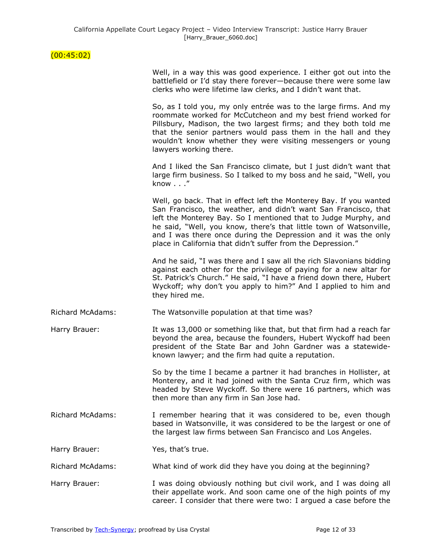## $(00:45:02)$

|                         | Well, in a way this was good experience. I either got out into the<br>battlefield or I'd stay there forever-because there were some law<br>clerks who were lifetime law clerks, and I didn't want that.                                                                                                                                                                                                          |
|-------------------------|------------------------------------------------------------------------------------------------------------------------------------------------------------------------------------------------------------------------------------------------------------------------------------------------------------------------------------------------------------------------------------------------------------------|
|                         | So, as I told you, my only entrée was to the large firms. And my<br>roommate worked for McCutcheon and my best friend worked for<br>Pillsbury, Madison, the two largest firms; and they both told me<br>that the senior partners would pass them in the hall and they<br>wouldn't know whether they were visiting messengers or young<br>lawyers working there.                                                  |
|                         | And I liked the San Francisco climate, but I just didn't want that<br>large firm business. So I talked to my boss and he said, "Well, you<br>know"                                                                                                                                                                                                                                                               |
|                         | Well, go back. That in effect left the Monterey Bay. If you wanted<br>San Francisco, the weather, and didn't want San Francisco, that<br>left the Monterey Bay. So I mentioned that to Judge Murphy, and<br>he said, "Well, you know, there's that little town of Watsonville,<br>and I was there once during the Depression and it was the only<br>place in California that didn't suffer from the Depression." |
|                         | And he said, "I was there and I saw all the rich Slavonians bidding<br>against each other for the privilege of paying for a new altar for<br>St. Patrick's Church." He said, "I have a friend down there, Hubert<br>Wyckoff; why don't you apply to him?" And I applied to him and<br>they hired me.                                                                                                             |
| <b>Richard McAdams:</b> | The Watsonville population at that time was?                                                                                                                                                                                                                                                                                                                                                                     |
| Harry Brauer:           | It was 13,000 or something like that, but that firm had a reach far<br>beyond the area, because the founders, Hubert Wyckoff had been<br>president of the State Bar and John Gardner was a statewide-<br>known lawyer; and the firm had quite a reputation.                                                                                                                                                      |
|                         | So by the time I became a partner it had branches in Hollister, at<br>Monterey, and it had joined with the Santa Cruz firm, which was<br>headed by Steve Wyckoff. So there were 16 partners, which was<br>then more than any firm in San Jose had.                                                                                                                                                               |
| <b>Richard McAdams:</b> | I remember hearing that it was considered to be, even though<br>based in Watsonville, it was considered to be the largest or one of<br>the largest law firms between San Francisco and Los Angeles.                                                                                                                                                                                                              |
| Harry Brauer:           | Yes, that's true.                                                                                                                                                                                                                                                                                                                                                                                                |
| <b>Richard McAdams:</b> | What kind of work did they have you doing at the beginning?                                                                                                                                                                                                                                                                                                                                                      |
| Harry Brauer:           | I was doing obviously nothing but civil work, and I was doing all<br>their appellate work. And soon came one of the high points of my<br>career. I consider that there were two: I argued a case before the                                                                                                                                                                                                      |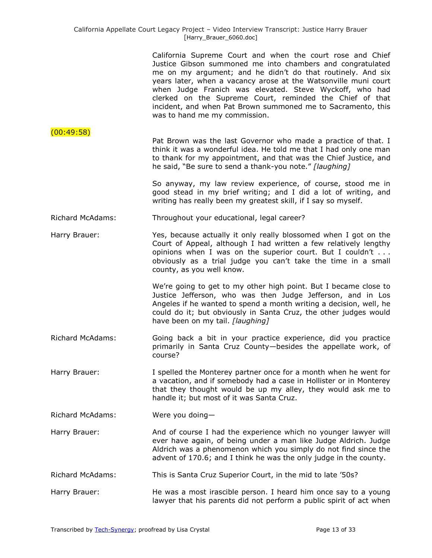|                         | California Supreme Court and when the court rose and Chief<br>Justice Gibson summoned me into chambers and congratulated<br>me on my argument; and he didn't do that routinely. And six<br>years later, when a vacancy arose at the Watsonville muni court<br>when Judge Franich was elevated. Steve Wyckoff, who had<br>clerked on the Supreme Court, reminded the Chief of that<br>incident, and when Pat Brown summoned me to Sacramento, this<br>was to hand me my commission. |
|-------------------------|------------------------------------------------------------------------------------------------------------------------------------------------------------------------------------------------------------------------------------------------------------------------------------------------------------------------------------------------------------------------------------------------------------------------------------------------------------------------------------|
| (00:49:58)              | Pat Brown was the last Governor who made a practice of that. I<br>think it was a wonderful idea. He told me that I had only one man<br>to thank for my appointment, and that was the Chief Justice, and<br>he said, "Be sure to send a thank-you note." [laughing]                                                                                                                                                                                                                 |
|                         | So anyway, my law review experience, of course, stood me in<br>good stead in my brief writing; and I did a lot of writing, and<br>writing has really been my greatest skill, if I say so myself.                                                                                                                                                                                                                                                                                   |
| <b>Richard McAdams:</b> | Throughout your educational, legal career?                                                                                                                                                                                                                                                                                                                                                                                                                                         |
| Harry Brauer:           | Yes, because actually it only really blossomed when I got on the<br>Court of Appeal, although I had written a few relatively lengthy<br>opinions when I was on the superior court. But I couldn't<br>obviously as a trial judge you can't take the time in a small<br>county, as you well know.                                                                                                                                                                                    |
|                         | We're going to get to my other high point. But I became close to<br>Justice Jefferson, who was then Judge Jefferson, and in Los<br>Angeles if he wanted to spend a month writing a decision, well, he<br>could do it; but obviously in Santa Cruz, the other judges would<br>have been on my tail. [laughing]                                                                                                                                                                      |
| <b>Richard McAdams:</b> | Going back a bit in your practice experience, did you practice<br>primarily in Santa Cruz County-besides the appellate work, of<br>course?                                                                                                                                                                                                                                                                                                                                         |
| Harry Brauer:           | I spelled the Monterey partner once for a month when he went for<br>a vacation, and if somebody had a case in Hollister or in Monterey<br>that they thought would be up my alley, they would ask me to<br>handle it; but most of it was Santa Cruz.                                                                                                                                                                                                                                |
| <b>Richard McAdams:</b> | Were you doing-                                                                                                                                                                                                                                                                                                                                                                                                                                                                    |
| Harry Brauer:           | And of course I had the experience which no younger lawyer will<br>ever have again, of being under a man like Judge Aldrich. Judge<br>Aldrich was a phenomenon which you simply do not find since the<br>advent of 170.6; and I think he was the only judge in the county.                                                                                                                                                                                                         |
| <b>Richard McAdams:</b> | This is Santa Cruz Superior Court, in the mid to late '50s?                                                                                                                                                                                                                                                                                                                                                                                                                        |
| Harry Brauer:           | He was a most irascible person. I heard him once say to a young<br>lawyer that his parents did not perform a public spirit of act when                                                                                                                                                                                                                                                                                                                                             |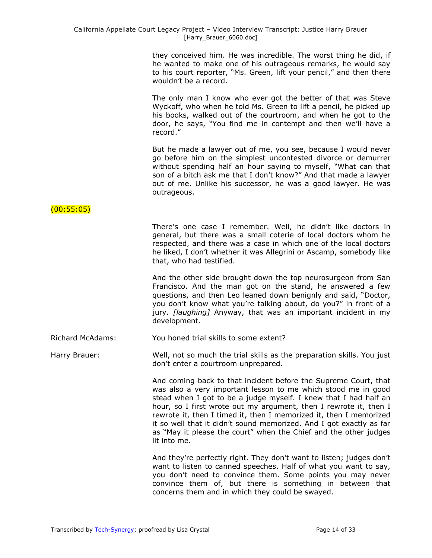they conceived him. He was incredible. The worst thing he did, if he wanted to make one of his outrageous remarks, he would say to his court reporter, "Ms. Green, lift your pencil," and then there wouldn't be a record.

The only man I know who ever got the better of that was Steve Wyckoff, who when he told Ms. Green to lift a pencil, he picked up his books, walked out of the courtroom, and when he got to the door, he says, "You find me in contempt and then we'll have a record."

But he made a lawyer out of me, you see, because I would never go before him on the simplest uncontested divorce or demurrer without spending half an hour saying to myself, "What can that son of a bitch ask me that I don't know?" And that made a lawyer out of me. Unlike his successor, he was a good lawyer. He was outrageous.

### $(00:55:05)$

There's one case I remember. Well, he didn't like doctors in general, but there was a small coterie of local doctors whom he respected, and there was a case in which one of the local doctors he liked, I don't whether it was Allegrini or Ascamp, somebody like that, who had testified.

And the other side brought down the top neurosurgeon from San Francisco. And the man got on the stand, he answered a few questions, and then Leo leaned down benignly and said, "Doctor, you don't know what you're talking about, do you?" in front of a jury. *[laughing]* Anyway, that was an important incident in my development.

Richard McAdams: You honed trial skills to some extent?

Harry Brauer: Well, not so much the trial skills as the preparation skills. You just don't enter a courtroom unprepared.

> And coming back to that incident before the Supreme Court, that was also a very important lesson to me which stood me in good stead when I got to be a judge myself. I knew that I had half an hour, so I first wrote out my argument, then I rewrote it, then I rewrote it, then I timed it, then I memorized it, then I memorized it so well that it didn't sound memorized. And I got exactly as far as "May it please the court" when the Chief and the other judges lit into me.

> And they're perfectly right. They don't want to listen; judges don't want to listen to canned speeches. Half of what you want to say, you don't need to convince them. Some points you may never convince them of, but there is something in between that concerns them and in which they could be swayed.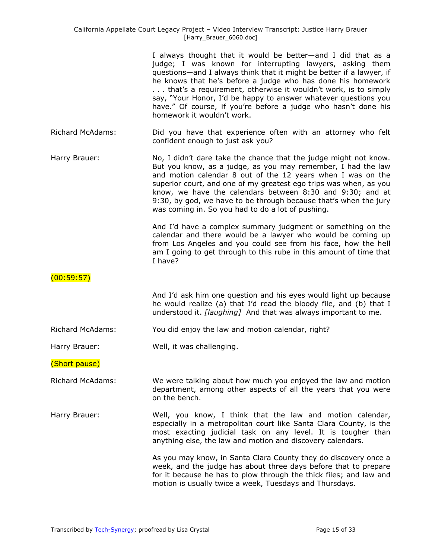|                         | I always thought that it would be better-and I did that as a<br>judge; I was known for interrupting lawyers, asking them<br>questions-and I always think that it might be better if a lawyer, if<br>he knows that he's before a judge who has done his homework<br>that's a requirement, otherwise it wouldn't work, is to simply<br>say, "Your Honor, I'd be happy to answer whatever questions you<br>have." Of course, if you're before a judge who hasn't done his<br>homework it wouldn't work. |
|-------------------------|------------------------------------------------------------------------------------------------------------------------------------------------------------------------------------------------------------------------------------------------------------------------------------------------------------------------------------------------------------------------------------------------------------------------------------------------------------------------------------------------------|
| <b>Richard McAdams:</b> | Did you have that experience often with an attorney who felt<br>confident enough to just ask you?                                                                                                                                                                                                                                                                                                                                                                                                    |
| Harry Brauer:           | No, I didn't dare take the chance that the judge might not know.<br>But you know, as a judge, as you may remember, I had the law<br>and motion calendar 8 out of the 12 years when I was on the<br>superior court, and one of my greatest ego trips was when, as you<br>know, we have the calendars between 8:30 and 9:30; and at<br>9:30, by god, we have to be through because that's when the jury<br>was coming in. So you had to do a lot of pushing.                                           |
|                         | And I'd have a complex summary judgment or something on the<br>calendar and there would be a lawyer who would be coming up<br>from Los Angeles and you could see from his face, how the hell<br>am I going to get through to this rube in this amount of time that<br>I have?                                                                                                                                                                                                                        |
| (00:59:57)              |                                                                                                                                                                                                                                                                                                                                                                                                                                                                                                      |
|                         | And I'd ask him one question and his eyes would light up because<br>he would realize (a) that I'd read the bloody file, and (b) that I<br>understood it. [laughing] And that was always important to me.                                                                                                                                                                                                                                                                                             |
| <b>Richard McAdams:</b> | You did enjoy the law and motion calendar, right?                                                                                                                                                                                                                                                                                                                                                                                                                                                    |
| Harry Brauer:           | Well, it was challenging.                                                                                                                                                                                                                                                                                                                                                                                                                                                                            |
| (Short pause)           |                                                                                                                                                                                                                                                                                                                                                                                                                                                                                                      |
| <b>Richard McAdams:</b> | We were talking about how much you enjoyed the law and motion<br>department, among other aspects of all the years that you were<br>on the bench.                                                                                                                                                                                                                                                                                                                                                     |
| Harry Brauer:           | Well, you know, I think that the law and motion calendar,<br>especially in a metropolitan court like Santa Clara County, is the<br>most exacting judicial task on any level. It is tougher than<br>anything else, the law and motion and discovery calendars.                                                                                                                                                                                                                                        |
|                         | As you may know, in Santa Clara County they do discovery once a<br>week, and the judge has about three days before that to prepare<br>for it because he has to plow through the thick files; and law and<br>motion is usually twice a week, Tuesdays and Thursdays.                                                                                                                                                                                                                                  |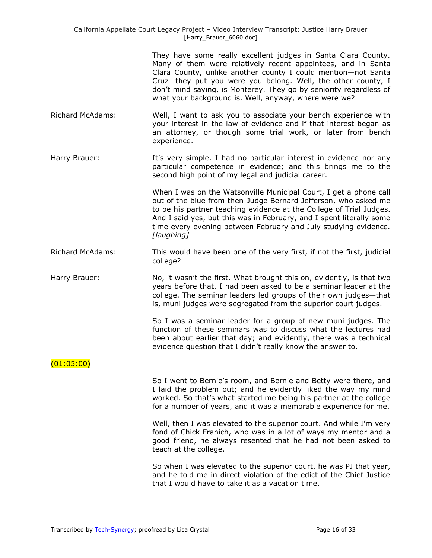California Appellate Court Legacy Project – Video Interview Transcript: Justice Harry Brauer [Harry\_Brauer\_6060.doc]

> They have some really excellent judges in Santa Clara County. Many of them were relatively recent appointees, and in Santa Clara County, unlike another county I could mention—not Santa Cruz—they put you were you belong. Well, the other county, I don't mind saying, is Monterey. They go by seniority regardless of what your background is. Well, anyway, where were we?

Richard McAdams: Well, I want to ask you to associate your bench experience with your interest in the law of evidence and if that interest began as an attorney, or though some trial work, or later from bench experience.

Harry Brauer: It's very simple. I had no particular interest in evidence nor any particular competence in evidence; and this brings me to the second high point of my legal and judicial career.

> When I was on the Watsonville Municipal Court, I get a phone call out of the blue from then-Judge Bernard Jefferson, who asked me to be his partner teaching evidence at the College of Trial Judges. And I said yes, but this was in February, and I spent literally some time every evening between February and July studying evidence. *[laughing]*

Richard McAdams: This would have been one of the very first, if not the first, judicial college?

Harry Brauer: No, it wasn't the first. What brought this on, evidently, is that two years before that, I had been asked to be a seminar leader at the college. The seminar leaders led groups of their own judges—that is, muni judges were segregated from the superior court judges.

> So I was a seminar leader for a group of new muni judges. The function of these seminars was to discuss what the lectures had been about earlier that day; and evidently, there was a technical evidence question that I didn't really know the answer to.

(01:05:00)

So I went to Bernie's room, and Bernie and Betty were there, and I laid the problem out; and he evidently liked the way my mind worked. So that's what started me being his partner at the college for a number of years, and it was a memorable experience for me.

Well, then I was elevated to the superior court. And while I'm very fond of Chick Franich, who was in a lot of ways my mentor and a good friend, he always resented that he had not been asked to teach at the college.

So when I was elevated to the superior court, he was PJ that year, and he told me in direct violation of the edict of the Chief Justice that I would have to take it as a vacation time.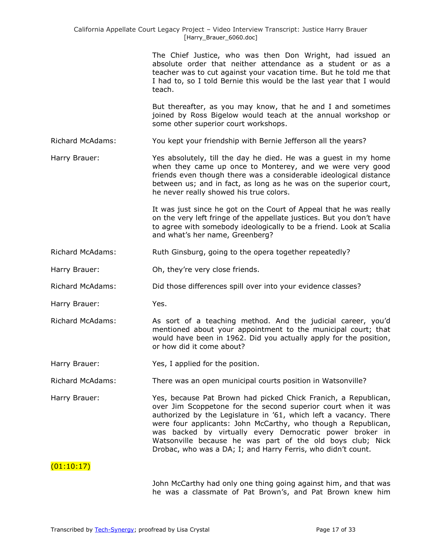The Chief Justice, who was then Don Wright, had issued an absolute order that neither attendance as a student or as a teacher was to cut against your vacation time. But he told me that I had to, so I told Bernie this would be the last year that I would teach.

But thereafter, as you may know, that he and I and sometimes joined by Ross Bigelow would teach at the annual workshop or some other superior court workshops.

Richard McAdams: You kept your friendship with Bernie Jefferson all the years?

Harry Brauer: Yes absolutely, till the day he died. He was a guest in my home when they came up once to Monterey, and we were very good friends even though there was a considerable ideological distance between us; and in fact, as long as he was on the superior court, he never really showed his true colors.

> It was just since he got on the Court of Appeal that he was really on the very left fringe of the appellate justices. But you don't have to agree with somebody ideologically to be a friend. Look at Scalia and what's her name, Greenberg?

Richard McAdams: Ruth Ginsburg, going to the opera together repeatedly?

Harry Brauer: Oh, they're very close friends.

Richard McAdams: Did those differences spill over into your evidence classes?

Harry Brauer: Yes.

Richard McAdams: As sort of a teaching method. And the judicial career, you'd mentioned about your appointment to the municipal court; that would have been in 1962. Did you actually apply for the position, or how did it come about?

Harry Brauer: Yes, I applied for the position.

Richard McAdams: There was an open municipal courts position in Watsonville?

Harry Brauer: Yes, because Pat Brown had picked Chick Franich, a Republican, over Jim Scoppetone for the second superior court when it was authorized by the Legislature in '61, which left a vacancy. There were four applicants: John McCarthy, who though a Republican, was backed by virtually every Democratic power broker in Watsonville because he was part of the old boys club; Nick Drobac, who was a DA; I; and Harry Ferris, who didn't count.

### $(01:10:17)$

John McCarthy had only one thing going against him, and that was he was a classmate of Pat Brown's, and Pat Brown knew him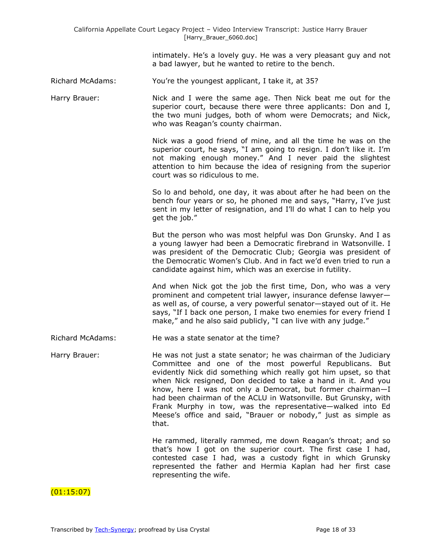intimately. He's a lovely guy. He was a very pleasant guy and not a bad lawyer, but he wanted to retire to the bench.

Richard McAdams: You're the youngest applicant, I take it, at 35?

Harry Brauer: Nick and I were the same age. Then Nick beat me out for the superior court, because there were three applicants: Don and I, the two muni judges, both of whom were Democrats; and Nick, who was Reagan's county chairman.

> Nick was a good friend of mine, and all the time he was on the superior court, he says, "I am going to resign. I don't like it. I'm not making enough money." And I never paid the slightest attention to him because the idea of resigning from the superior court was so ridiculous to me.

> So lo and behold, one day, it was about after he had been on the bench four years or so, he phoned me and says, "Harry, I've just sent in my letter of resignation, and I'll do what I can to help you get the job."

> But the person who was most helpful was Don Grunsky. And I as a young lawyer had been a Democratic firebrand in Watsonville. I was president of the Democratic Club; Georgia was president of the Democratic Women's Club. And in fact we'd even tried to run a candidate against him, which was an exercise in futility.

> And when Nick got the job the first time, Don, who was a very prominent and competent trial lawyer, insurance defense lawyer as well as, of course, a very powerful senator—stayed out of it. He says, "If I back one person, I make two enemies for every friend I make," and he also said publicly, "I can live with any judge."

Richard McAdams: He was a state senator at the time?

Harry Brauer: He was not just a state senator; he was chairman of the Judiciary Committee and one of the most powerful Republicans. But evidently Nick did something which really got him upset, so that when Nick resigned, Don decided to take a hand in it. And you know, here I was not only a Democrat, but former chairman—I had been chairman of the ACLU in Watsonville. But Grunsky, with Frank Murphy in tow, was the representative—walked into Ed Meese's office and said, "Brauer or nobody," just as simple as that.

> He rammed, literally rammed, me down Reagan's throat; and so that's how I got on the superior court. The first case I had, contested case I had, was a custody fight in which Grunsky represented the father and Hermia Kaplan had her first case representing the wife.

(01:15:07)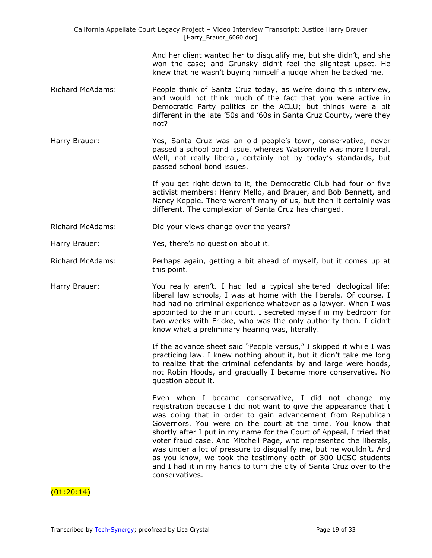And her client wanted her to disqualify me, but she didn't, and she won the case; and Grunsky didn't feel the slightest upset. He knew that he wasn't buying himself a judge when he backed me.

- Richard McAdams: People think of Santa Cruz today, as we're doing this interview, and would not think much of the fact that you were active in Democratic Party politics or the ACLU; but things were a bit different in the late '50s and '60s in Santa Cruz County, were they not?
- Harry Brauer: Yes, Santa Cruz was an old people's town, conservative, never passed a school bond issue, whereas Watsonville was more liberal. Well, not really liberal, certainly not by today's standards, but passed school bond issues.

If you get right down to it, the Democratic Club had four or five activist members: Henry Mello, and Brauer, and Bob Bennett, and Nancy Kepple. There weren't many of us, but then it certainly was different. The complexion of Santa Cruz has changed.

Richard McAdams: Did your views change over the years?

Harry Brauer: Yes, there's no question about it.

- Richard McAdams: Perhaps again, getting a bit ahead of myself, but it comes up at this point.
- Harry Brauer: You really aren't. I had led a typical sheltered ideological life: liberal law schools, I was at home with the liberals. Of course, I had had no criminal experience whatever as a lawyer. When I was appointed to the muni court, I secreted myself in my bedroom for two weeks with Fricke, who was the only authority then. I didn't know what a preliminary hearing was, literally.

If the advance sheet said "People versus," I skipped it while I was practicing law. I knew nothing about it, but it didn't take me long to realize that the criminal defendants by and large were hoods, not Robin Hoods, and gradually I became more conservative. No question about it.

Even when I became conservative, I did not change my registration because I did not want to give the appearance that I was doing that in order to gain advancement from Republican Governors. You were on the court at the time. You know that shortly after I put in my name for the Court of Appeal, I tried that voter fraud case. And Mitchell Page, who represented the liberals, was under a lot of pressure to disqualify me, but he wouldn't. And as you know, we took the testimony oath of 300 UCSC students and I had it in my hands to turn the city of Santa Cruz over to the conservatives.

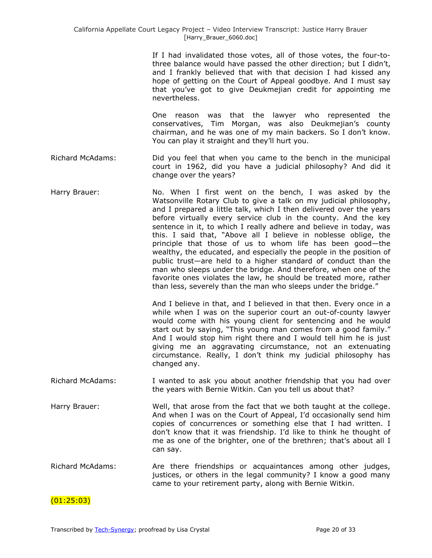If I had invalidated those votes, all of those votes, the four-tothree balance would have passed the other direction; but I didn't, and I frankly believed that with that decision I had kissed any hope of getting on the Court of Appeal goodbye. And I must say that you've got to give Deukmejian credit for appointing me nevertheless.

One reason was that the lawyer who represented the conservatives, Tim Morgan, was also Deukmejian's county chairman, and he was one of my main backers. So I don't know. You can play it straight and they'll hurt you.

- Richard McAdams: Did you feel that when you came to the bench in the municipal court in 1962, did you have a judicial philosophy? And did it change over the years?
- Harry Brauer: No. When I first went on the bench, I was asked by the Watsonville Rotary Club to give a talk on my judicial philosophy, and I prepared a little talk, which I then delivered over the years before virtually every service club in the county. And the key sentence in it, to which I really adhere and believe in today, was this. I said that, "Above all I believe in noblesse oblige, the principle that those of us to whom life has been good—the wealthy, the educated, and especially the people in the position of public trust—are held to a higher standard of conduct than the man who sleeps under the bridge. And therefore, when one of the favorite ones violates the law, he should be treated more, rather than less, severely than the man who sleeps under the bridge."

And I believe in that, and I believed in that then. Every once in a while when I was on the superior court an out-of-county lawyer would come with his young client for sentencing and he would start out by saying, "This young man comes from a good family." And I would stop him right there and I would tell him he is just giving me an aggravating circumstance, not an extenuating circumstance. Really, I don't think my judicial philosophy has changed any.

- Richard McAdams: I wanted to ask you about another friendship that you had over the years with Bernie Witkin. Can you tell us about that?
- Harry Brauer: Well, that arose from the fact that we both taught at the college. And when I was on the Court of Appeal, I'd occasionally send him copies of concurrences or something else that I had written. I don't know that it was friendship. I'd like to think he thought of me as one of the brighter, one of the brethren; that's about all I can say.
- Richard McAdams: Are there friendships or acquaintances among other judges, justices, or others in the legal community? I know a good many came to your retirement party, along with Bernie Witkin.

### (01:25:03)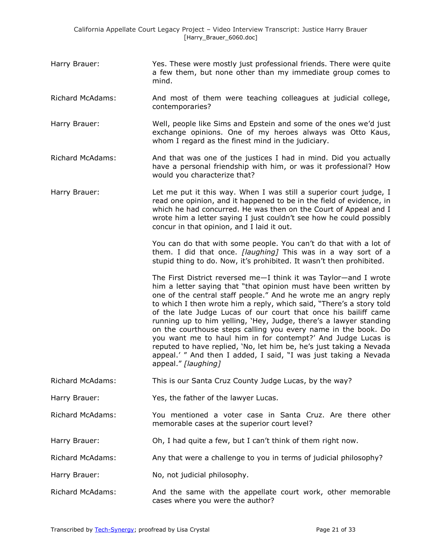- Harry Brauer: Yes. These were mostly just professional friends. There were quite a few them, but none other than my immediate group comes to mind.
- Richard McAdams: And most of them were teaching colleagues at judicial college, contemporaries?
- Harry Brauer: Well, people like Sims and Epstein and some of the ones we'd just exchange opinions. One of my heroes always was Otto Kaus, whom I regard as the finest mind in the judiciary.
- Richard McAdams: And that was one of the justices I had in mind. Did you actually have a personal friendship with him, or was it professional? How would you characterize that?
- Harry Brauer: **Let me put it this way. When I was still a superior court judge, I** read one opinion, and it happened to be in the field of evidence, in which he had concurred. He was then on the Court of Appeal and I wrote him a letter saying I just couldn't see how he could possibly concur in that opinion, and I laid it out.

You can do that with some people. You can't do that with a lot of them. I did that once. *[laughing]* This was in a way sort of a stupid thing to do. Now, it's prohibited. It wasn't then prohibited.

The First District reversed me—I think it was Taylor—and I wrote him a letter saying that "that opinion must have been written by one of the central staff people." And he wrote me an angry reply to which I then wrote him a reply, which said, "There's a story told of the late Judge Lucas of our court that once his bailiff came running up to him yelling, 'Hey, Judge, there's a lawyer standing on the courthouse steps calling you every name in the book. Do you want me to haul him in for contempt?' And Judge Lucas is reputed to have replied, 'No, let him be, he's just taking a Nevada appeal.' " And then I added, I said, "I was just taking a Nevada appeal.‖ *[laughing]*

- Richard McAdams: This is our Santa Cruz County Judge Lucas, by the way?
- Harry Brauer: Yes, the father of the lawyer Lucas.
- Richard McAdams: You mentioned a voter case in Santa Cruz. Are there other memorable cases at the superior court level?
- Harry Brauer: Oh, I had quite a few, but I can't think of them right now.
- Richard McAdams: Any that were a challenge to you in terms of judicial philosophy?
- Harry Brauer: No, not judicial philosophy.
- Richard McAdams: And the same with the appellate court work, other memorable cases where you were the author?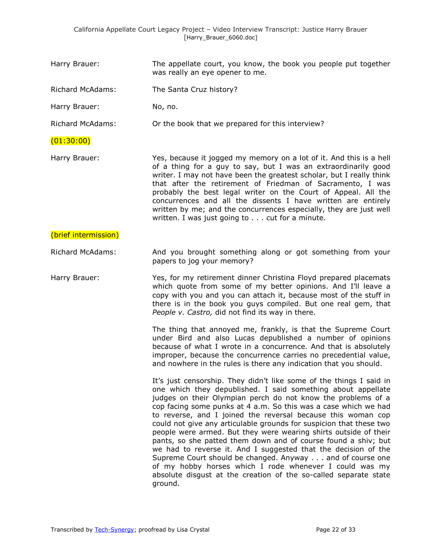Harry Brauer: The appellate court, you know, the book you people put together was really an eye opener to me.

Richard McAdams: The Santa Cruz history?

Harry Brauer: No, no.

Richard McAdams: Or the book that we prepared for this interview?

### (01:30:00)

Harry Brauer: Yes, because it jogged my memory on a lot of it. And this is a hell of a thing for a guy to say, but I was an extraordinarily good writer. I may not have been the greatest scholar, but I really think that after the retirement of Friedman of Sacramento, I was probably the best legal writer on the Court of Appeal. All the concurrences and all the dissents I have written are entirely written by me; and the concurrences especially, they are just well written. I was just going to . . . cut for a minute.

#### (brief intermission)

Richard McAdams: And you brought something along or got something from your papers to jog your memory?

Harry Brauer: Yes, for my retirement dinner Christina Floyd prepared placemats which quote from some of my better opinions. And I'll leave a copy with you and you can attach it, because most of the stuff in there is in the book you guys compiled. But one real gem, that *People v. Castro,* did not find its way in there.

> The thing that annoyed me, frankly, is that the Supreme Court under Bird and also Lucas depublished a number of opinions because of what I wrote in a concurrence. And that is absolutely improper, because the concurrence carries no precedential value, and nowhere in the rules is there any indication that you should.

> It's just censorship. They didn't like some of the things I said in one which they depublished. I said something about appellate judges on their Olympian perch do not know the problems of a cop facing some punks at 4 a.m. So this was a case which we had to reverse, and I joined the reversal because this woman cop could not give any articulable grounds for suspicion that these two people were armed. But they were wearing shirts outside of their pants, so she patted them down and of course found a shiv; but we had to reverse it. And I suggested that the decision of the Supreme Court should be changed. Anyway . . . and of course one of my hobby horses which I rode whenever I could was my absolute disgust at the creation of the so-called separate state ground.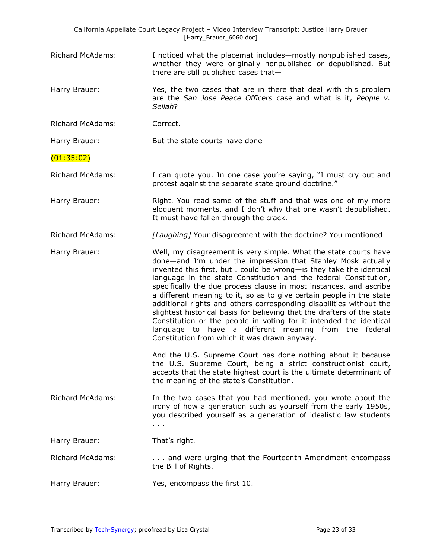|                         | California Appellate Court Legacy Project - Video Interview Transcript: Justice Harry Brauer<br>[Harry_Brauer_6060.doc]                                                                                                                                                                                                                                                                                                                                                                                                                                                                                                                                                                                                                                      |
|-------------------------|--------------------------------------------------------------------------------------------------------------------------------------------------------------------------------------------------------------------------------------------------------------------------------------------------------------------------------------------------------------------------------------------------------------------------------------------------------------------------------------------------------------------------------------------------------------------------------------------------------------------------------------------------------------------------------------------------------------------------------------------------------------|
| <b>Richard McAdams:</b> | I noticed what the placemat includes—mostly nonpublished cases,<br>whether they were originally nonpublished or depublished. But<br>there are still published cases that-                                                                                                                                                                                                                                                                                                                                                                                                                                                                                                                                                                                    |
| Harry Brauer:           | Yes, the two cases that are in there that deal with this problem<br>are the San Jose Peace Officers case and what is it, People v.<br>Seliah?                                                                                                                                                                                                                                                                                                                                                                                                                                                                                                                                                                                                                |
| <b>Richard McAdams:</b> | Correct.                                                                                                                                                                                                                                                                                                                                                                                                                                                                                                                                                                                                                                                                                                                                                     |
| Harry Brauer:           | But the state courts have done-                                                                                                                                                                                                                                                                                                                                                                                                                                                                                                                                                                                                                                                                                                                              |
| (01:35:02)              |                                                                                                                                                                                                                                                                                                                                                                                                                                                                                                                                                                                                                                                                                                                                                              |
| <b>Richard McAdams:</b> | I can quote you. In one case you're saying, "I must cry out and<br>protest against the separate state ground doctrine."                                                                                                                                                                                                                                                                                                                                                                                                                                                                                                                                                                                                                                      |
| Harry Brauer:           | Right. You read some of the stuff and that was one of my more<br>eloquent moments, and I don't why that one wasn't depublished.<br>It must have fallen through the crack.                                                                                                                                                                                                                                                                                                                                                                                                                                                                                                                                                                                    |
| <b>Richard McAdams:</b> | [Laughing] Your disagreement with the doctrine? You mentioned-                                                                                                                                                                                                                                                                                                                                                                                                                                                                                                                                                                                                                                                                                               |
| Harry Brauer:           | Well, my disagreement is very simple. What the state courts have<br>done-and I'm under the impression that Stanley Mosk actually<br>invented this first, but I could be wrong- is they take the identical<br>language in the state Constitution and the federal Constitution,<br>specifically the due process clause in most instances, and ascribe<br>a different meaning to it, so as to give certain people in the state<br>additional rights and others corresponding disabilities without the<br>slightest historical basis for believing that the drafters of the state<br>Constitution or the people in voting for it intended the identical<br>language to have a different meaning from the federal<br>Constitution from which it was drawn anyway. |
|                         | And the U.S. Supreme Court has done nothing about it because<br>the U.S. Supreme Court, being a strict constructionist court,<br>accepts that the state highest court is the ultimate determinant of<br>the meaning of the state's Constitution.                                                                                                                                                                                                                                                                                                                                                                                                                                                                                                             |
| <b>Richard McAdams:</b> | In the two cases that you had mentioned, you wrote about the<br>irony of how a generation such as yourself from the early 1950s,<br>you described yourself as a generation of idealistic law students<br>$\sim$ 100 $\pm$                                                                                                                                                                                                                                                                                                                                                                                                                                                                                                                                    |
| Harry Brauer:           | That's right.                                                                                                                                                                                                                                                                                                                                                                                                                                                                                                                                                                                                                                                                                                                                                |
| <b>Richard McAdams:</b> | and were urging that the Fourteenth Amendment encompass<br>the Bill of Rights.                                                                                                                                                                                                                                                                                                                                                                                                                                                                                                                                                                                                                                                                               |
| Harry Brauer:           | Yes, encompass the first 10.                                                                                                                                                                                                                                                                                                                                                                                                                                                                                                                                                                                                                                                                                                                                 |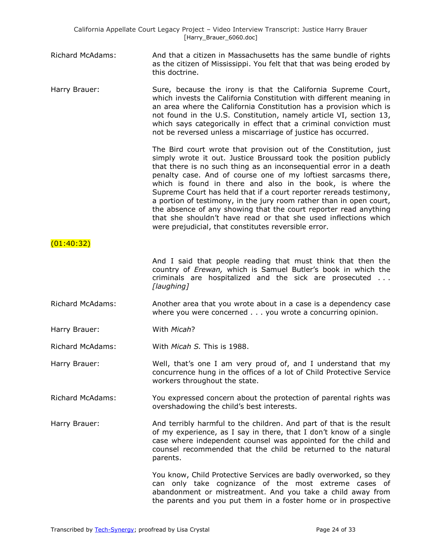|                         | California Appellate Court Legacy Project - Video Interview Transcript: Justice Harry Brauer<br>[Harry_Brauer_6060.doc]                                                                                                                                                                                                                                                                                                                                                                                                                                                                                                                                                                  |
|-------------------------|------------------------------------------------------------------------------------------------------------------------------------------------------------------------------------------------------------------------------------------------------------------------------------------------------------------------------------------------------------------------------------------------------------------------------------------------------------------------------------------------------------------------------------------------------------------------------------------------------------------------------------------------------------------------------------------|
| <b>Richard McAdams:</b> | And that a citizen in Massachusetts has the same bundle of rights<br>as the citizen of Mississippi. You felt that that was being eroded by<br>this doctrine.                                                                                                                                                                                                                                                                                                                                                                                                                                                                                                                             |
| Harry Brauer:           | Sure, because the irony is that the California Supreme Court,<br>which invests the California Constitution with different meaning in<br>an area where the California Constitution has a provision which is<br>not found in the U.S. Constitution, namely article VI, section 13,<br>which says categorically in effect that a criminal conviction must<br>not be reversed unless a miscarriage of justice has occurred.                                                                                                                                                                                                                                                                  |
|                         | The Bird court wrote that provision out of the Constitution, just<br>simply wrote it out. Justice Broussard took the position publicly<br>that there is no such thing as an inconsequential error in a death<br>penalty case. And of course one of my loftiest sarcasms there,<br>which is found in there and also in the book, is where the<br>Supreme Court has held that if a court reporter rereads testimony,<br>a portion of testimony, in the jury room rather than in open court,<br>the absence of any showing that the court reporter read anything<br>that she shouldn't have read or that she used inflections which<br>were prejudicial, that constitutes reversible error. |
| (01:40:32)              |                                                                                                                                                                                                                                                                                                                                                                                                                                                                                                                                                                                                                                                                                          |
|                         | And I said that people reading that must think that then the<br>country of Erewan, which is Samuel Butler's book in which the<br>criminals are hospitalized and the sick are prosecuted<br>[laughing]                                                                                                                                                                                                                                                                                                                                                                                                                                                                                    |
| Richard McAdams:        | Another area that you wrote about in a case is a dependency case<br>where you were concerned you wrote a concurring opinion.                                                                                                                                                                                                                                                                                                                                                                                                                                                                                                                                                             |
| Harry Brauer:           | With Micah?                                                                                                                                                                                                                                                                                                                                                                                                                                                                                                                                                                                                                                                                              |
| <b>Richard McAdams:</b> | With Micah S. This is 1988.                                                                                                                                                                                                                                                                                                                                                                                                                                                                                                                                                                                                                                                              |
| Harry Brauer:           | Well, that's one I am very proud of, and I understand that my<br>concurrence hung in the offices of a lot of Child Protective Service<br>workers throughout the state.                                                                                                                                                                                                                                                                                                                                                                                                                                                                                                                   |
| <b>Richard McAdams:</b> | You expressed concern about the protection of parental rights was<br>overshadowing the child's best interests.                                                                                                                                                                                                                                                                                                                                                                                                                                                                                                                                                                           |
| Harry Brauer:           | And terribly harmful to the children. And part of that is the result<br>of my experience, as I say in there, that I don't know of a single<br>case where independent counsel was appointed for the child and                                                                                                                                                                                                                                                                                                                                                                                                                                                                             |

You know, Child Protective Services are badly overworked, so they can only take cognizance of the most extreme cases of abandonment or mistreatment. And you take a child away from the parents and you put them in a foster home or in prospective

counsel recommended that the child be returned to the natural

parents.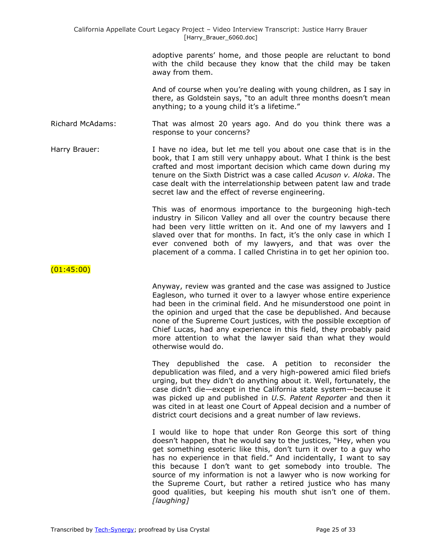adoptive parents' home, and those people are reluctant to bond with the child because they know that the child may be taken away from them.

And of course when you're dealing with young children, as I say in there, as Goldstein says, "to an adult three months doesn't mean anything; to a young child it's a lifetime."

Richard McAdams: That was almost 20 years ago. And do you think there was a response to your concerns?

Harry Brauer: I have no idea, but let me tell you about one case that is in the book, that I am still very unhappy about. What I think is the best crafted and most important decision which came down during my tenure on the Sixth District was a case called *Acuson v. Aloka*. The case dealt with the interrelationship between patent law and trade secret law and the effect of reverse engineering.

> This was of enormous importance to the burgeoning high-tech industry in Silicon Valley and all over the country because there had been very little written on it. And one of my lawyers and I slaved over that for months. In fact, it's the only case in which I ever convened both of my lawyers, and that was over the placement of a comma. I called Christina in to get her opinion too.

(01:45:00)

Anyway, review was granted and the case was assigned to Justice Eagleson, who turned it over to a lawyer whose entire experience had been in the criminal field. And he misunderstood one point in the opinion and urged that the case be depublished. And because none of the Supreme Court justices, with the possible exception of Chief Lucas, had any experience in this field, they probably paid more attention to what the lawyer said than what they would otherwise would do.

They depublished the case. A petition to reconsider the depublication was filed, and a very high-powered amici filed briefs urging, but they didn't do anything about it. Well, fortunately, the case didn't die—except in the California state system—because it was picked up and published in *U.S. Patent Reporter* and then it was cited in at least one Court of Appeal decision and a number of district court decisions and a great number of law reviews.

I would like to hope that under Ron George this sort of thing doesn't happen, that he would say to the justices, "Hey, when you get something esoteric like this, don't turn it over to a guy who has no experience in that field." And incidentally, I want to say this because I don't want to get somebody into trouble. The source of my information is not a lawyer who is now working for the Supreme Court, but rather a retired justice who has many good qualities, but keeping his mouth shut isn't one of them. *[laughing]*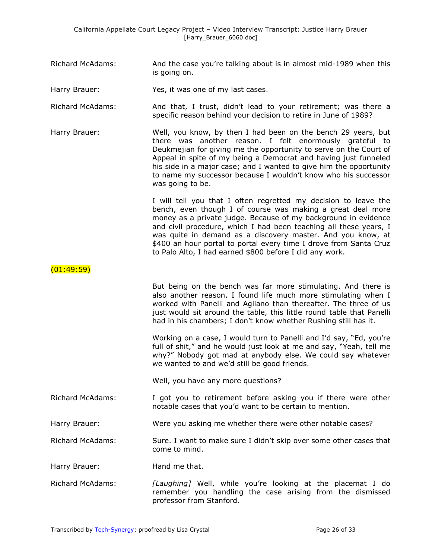- Richard McAdams: And the case you're talking about is in almost mid-1989 when this is going on.
- Harry Brauer: Yes, it was one of my last cases.
- Richard McAdams: And that, I trust, didn't lead to your retirement; was there a specific reason behind your decision to retire in June of 1989?
- Harry Brauer: Well, you know, by then I had been on the bench 29 years, but there was another reason. I felt enormously grateful to Deukmejian for giving me the opportunity to serve on the Court of Appeal in spite of my being a Democrat and having just funneled his side in a major case; and I wanted to give him the opportunity to name my successor because I wouldn't know who his successor was going to be.

I will tell you that I often regretted my decision to leave the bench, even though I of course was making a great deal more money as a private judge. Because of my background in evidence and civil procedure, which I had been teaching all these years, I was quite in demand as a discovery master. And you know, at \$400 an hour portal to portal every time I drove from Santa Cruz to Palo Alto, I had earned \$800 before I did any work.

(01:49:59)

But being on the bench was far more stimulating. And there is also another reason. I found life much more stimulating when I worked with Panelli and Agliano than thereafter. The three of us just would sit around the table, this little round table that Panelli had in his chambers; I don't know whether Rushing still has it.

Working on a case, I would turn to Panelli and I'd say, "Ed, you're full of shit," and he would just look at me and say, "Yeah, tell me why?" Nobody got mad at anybody else. We could say whatever we wanted to and we'd still be good friends.

Well, you have any more questions?

Richard McAdams: I got you to retirement before asking you if there were other notable cases that you'd want to be certain to mention.

Harry Brauer: Were you asking me whether there were other notable cases?

Richard McAdams: Sure. I want to make sure I didn't skip over some other cases that come to mind.

Harry Brauer: Hand me that.

Richard McAdams: *[Laughing]* Well, while you're looking at the placemat I do remember you handling the case arising from the dismissed professor from Stanford.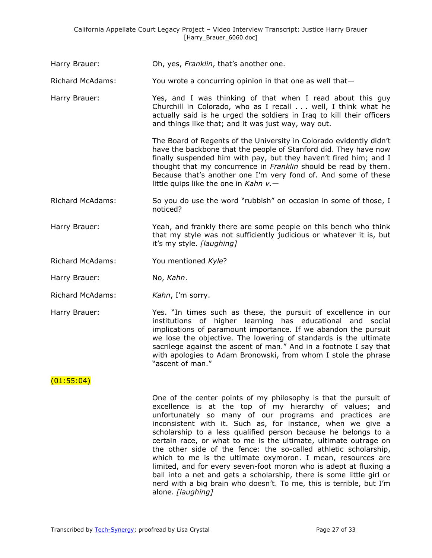| Harry Brauer: | Oh, yes, Franklin, that's another one. |
|---------------|----------------------------------------|
|---------------|----------------------------------------|

Richard McAdams: You wrote a concurring opinion in that one as well that—

Harry Brauer: Yes, and I was thinking of that when I read about this guy Churchill in Colorado, who as I recall . . . well, I think what he actually said is he urged the soldiers in Iraq to kill their officers and things like that; and it was just way, way out.

> The Board of Regents of the University in Colorado evidently didn't have the backbone that the people of Stanford did. They have now finally suspended him with pay, but they haven't fired him; and I thought that my concurrence in *Franklin* should be read by them. Because that's another one I'm very fond of. And some of these little quips like the one in *Kahn v.*—

- Richard McAdams: So you do use the word "rubbish" on occasion in some of those, I noticed?
- Harry Brauer: Yeah, and frankly there are some people on this bench who think that my style was not sufficiently judicious or whatever it is, but it's my style. *[laughing]*
- Richard McAdams: You mentioned *Kyle*?
- Harry Brauer: No, *Kahn*.
- Richard McAdams: *Kahn*, I'm sorry.
- Harry Brauer: The Yes. "In times such as these, the pursuit of excellence in our institutions of higher learning has educational and social implications of paramount importance. If we abandon the pursuit we lose the objective. The lowering of standards is the ultimate sacrilege against the ascent of man." And in a footnote I say that with apologies to Adam Bronowski, from whom I stole the phrase "ascent of man."

### $(01:55:04)$

One of the center points of my philosophy is that the pursuit of excellence is at the top of my hierarchy of values; and unfortunately so many of our programs and practices are inconsistent with it. Such as, for instance, when we give a scholarship to a less qualified person because he belongs to a certain race, or what to me is the ultimate, ultimate outrage on the other side of the fence: the so-called athletic scholarship, which to me is the ultimate oxymoron. I mean, resources are limited, and for every seven-foot moron who is adept at fluxing a ball into a net and gets a scholarship, there is some little girl or nerd with a big brain who doesn't. To me, this is terrible, but I'm alone. *[laughing]*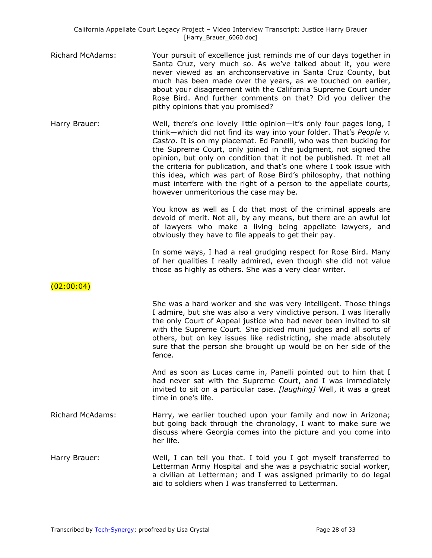Richard McAdams: Your pursuit of excellence just reminds me of our days together in Santa Cruz, very much so. As we've talked about it, you were never viewed as an archconservative in Santa Cruz County, but much has been made over the years, as we touched on earlier, about your disagreement with the California Supreme Court under Rose Bird. And further comments on that? Did you deliver the pithy opinions that you promised?

Harry Brauer: Well, there's one lovely little opinion-it's only four pages long, I think—which did not find its way into your folder. That's *People v. Castro*. It is on my placemat. Ed Panelli, who was then bucking for the Supreme Court, only joined in the judgment, not signed the opinion, but only on condition that it not be published. It met all the criteria for publication, and that's one where I took issue with this idea, which was part of Rose Bird's philosophy, that nothing must interfere with the right of a person to the appellate courts, however unmeritorious the case may be.

> You know as well as I do that most of the criminal appeals are devoid of merit. Not all, by any means, but there are an awful lot of lawyers who make a living being appellate lawyers, and obviously they have to file appeals to get their pay.

> In some ways, I had a real grudging respect for Rose Bird. Many of her qualities I really admired, even though she did not value those as highly as others. She was a very clear writer.

 $(02:00:04)$ 

She was a hard worker and she was very intelligent. Those things I admire, but she was also a very vindictive person. I was literally the only Court of Appeal justice who had never been invited to sit with the Supreme Court. She picked muni judges and all sorts of others, but on key issues like redistricting, she made absolutely sure that the person she brought up would be on her side of the fence.

And as soon as Lucas came in, Panelli pointed out to him that I had never sat with the Supreme Court, and I was immediately invited to sit on a particular case. *[laughing]* Well, it was a great time in one's life.

Richard McAdams: Harry, we earlier touched upon your family and now in Arizona; but going back through the chronology, I want to make sure we discuss where Georgia comes into the picture and you come into her life.

Harry Brauer: Well, I can tell you that. I told you I got myself transferred to Letterman Army Hospital and she was a psychiatric social worker, a civilian at Letterman; and I was assigned primarily to do legal aid to soldiers when I was transferred to Letterman.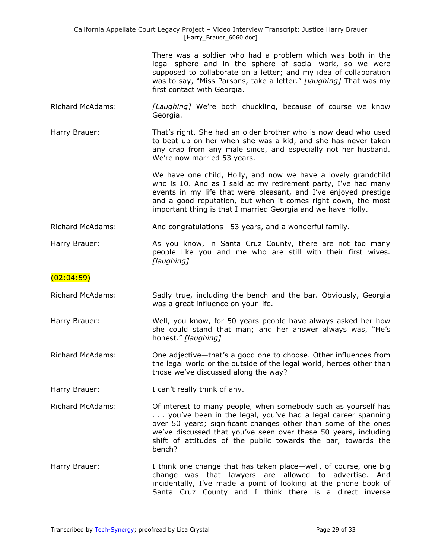| California Appellate Court Legacy Project - Video Interview Transcript: Justice Harry Brauer<br>[Harry_Brauer_6060.doc] |                                                                                                                                                                                                                                                                                                                                                |
|-------------------------------------------------------------------------------------------------------------------------|------------------------------------------------------------------------------------------------------------------------------------------------------------------------------------------------------------------------------------------------------------------------------------------------------------------------------------------------|
|                                                                                                                         | There was a soldier who had a problem which was both in the<br>legal sphere and in the sphere of social work, so we were<br>supposed to collaborate on a letter; and my idea of collaboration<br>was to say, "Miss Parsons, take a letter." [laughing] That was my<br>first contact with Georgia.                                              |
| <b>Richard McAdams:</b>                                                                                                 | [Laughing] We're both chuckling, because of course we know<br>Georgia.                                                                                                                                                                                                                                                                         |
| Harry Brauer:                                                                                                           | That's right. She had an older brother who is now dead who used<br>to beat up on her when she was a kid, and she has never taken<br>any crap from any male since, and especially not her husband.<br>We're now married 53 years.                                                                                                               |
|                                                                                                                         | We have one child, Holly, and now we have a lovely grandchild<br>who is 10. And as I said at my retirement party, I've had many<br>events in my life that were pleasant, and I've enjoyed prestige<br>and a good reputation, but when it comes right down, the most<br>important thing is that I married Georgia and we have Holly.            |
| <b>Richard McAdams:</b>                                                                                                 | And congratulations-53 years, and a wonderful family.                                                                                                                                                                                                                                                                                          |
| Harry Brauer:                                                                                                           | As you know, in Santa Cruz County, there are not too many<br>people like you and me who are still with their first wives.<br>[laughing]                                                                                                                                                                                                        |
| (02:04:59)                                                                                                              |                                                                                                                                                                                                                                                                                                                                                |
| <b>Richard McAdams:</b>                                                                                                 | Sadly true, including the bench and the bar. Obviously, Georgia<br>was a great influence on your life.                                                                                                                                                                                                                                         |
| Harry Brauer:                                                                                                           | Well, you know, for 50 years people have always asked her how<br>she could stand that man; and her answer always was, "He's<br>honest." [laughing]                                                                                                                                                                                             |
| <b>Richard McAdams:</b>                                                                                                 | One adjective-that's a good one to choose. Other influences from<br>the legal world or the outside of the legal world, heroes other than<br>those we've discussed along the way?                                                                                                                                                               |
| Harry Brauer:                                                                                                           | I can't really think of any.                                                                                                                                                                                                                                                                                                                   |
| <b>Richard McAdams:</b>                                                                                                 | Of interest to many people, when somebody such as yourself has<br>you've been in the legal, you've had a legal career spanning<br>over 50 years; significant changes other than some of the ones<br>we've discussed that you've seen over these 50 years, including<br>shift of attitudes of the public towards the bar, towards the<br>bench? |
| Harry Brauer:                                                                                                           | I think one change that has taken place—well, of course, one big<br>change—was that lawyers are allowed to advertise. And<br>incidentally, I've made a point of looking at the phone book of<br>Santa Cruz County and I think there is a direct inverse                                                                                        |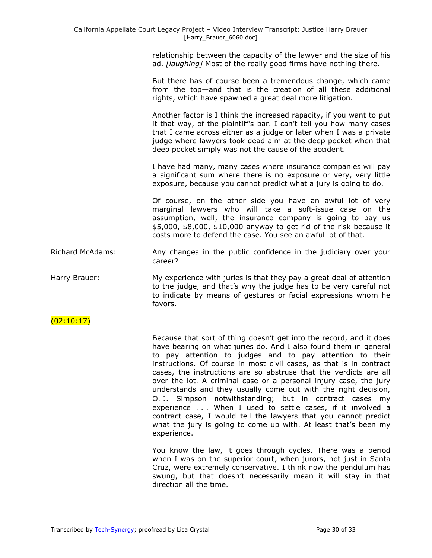relationship between the capacity of the lawyer and the size of his ad. *[laughing]* Most of the really good firms have nothing there.

But there has of course been a tremendous change, which came from the top—and that is the creation of all these additional rights, which have spawned a great deal more litigation.

Another factor is I think the increased rapacity, if you want to put it that way, of the plaintiff's bar. I can't tell you how many cases that I came across either as a judge or later when I was a private judge where lawyers took dead aim at the deep pocket when that deep pocket simply was not the cause of the accident.

I have had many, many cases where insurance companies will pay a significant sum where there is no exposure or very, very little exposure, because you cannot predict what a jury is going to do.

Of course, on the other side you have an awful lot of very marginal lawyers who will take a soft-issue case on the assumption, well, the insurance company is going to pay us \$5,000, \$8,000, \$10,000 anyway to get rid of the risk because it costs more to defend the case. You see an awful lot of that.

Richard McAdams: Any changes in the public confidence in the judiciary over your career?

Harry Brauer: My experience with juries is that they pay a great deal of attention to the judge, and that's why the judge has to be very careful not to indicate by means of gestures or facial expressions whom he favors.

### $(02:10:17)$

Because that sort of thing doesn't get into the record, and it does have bearing on what juries do. And I also found them in general to pay attention to judges and to pay attention to their instructions. Of course in most civil cases, as that is in contract cases, the instructions are so abstruse that the verdicts are all over the lot. A criminal case or a personal injury case, the jury understands and they usually come out with the right decision, O. J. Simpson notwithstanding; but in contract cases my experience . . . When I used to settle cases, if it involved a contract case, I would tell the lawyers that you cannot predict what the jury is going to come up with. At least that's been my experience.

You know the law, it goes through cycles. There was a period when I was on the superior court, when jurors, not just in Santa Cruz, were extremely conservative. I think now the pendulum has swung, but that doesn't necessarily mean it will stay in that direction all the time.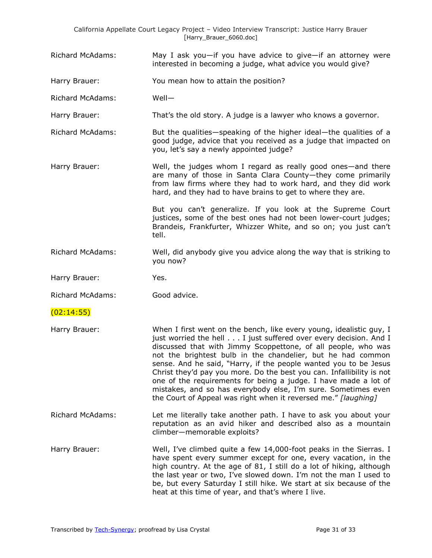|                         | California Appellate Court Legacy Project - Video Interview Transcript: Justice Harry Brauer<br>[Harry_Brauer_6060.doc]                                                                                                                                                                                                                                                                                                                                                                                                                                                                                                    |
|-------------------------|----------------------------------------------------------------------------------------------------------------------------------------------------------------------------------------------------------------------------------------------------------------------------------------------------------------------------------------------------------------------------------------------------------------------------------------------------------------------------------------------------------------------------------------------------------------------------------------------------------------------------|
| <b>Richard McAdams:</b> | May I ask you-if you have advice to give-if an attorney were<br>interested in becoming a judge, what advice you would give?                                                                                                                                                                                                                                                                                                                                                                                                                                                                                                |
| Harry Brauer:           | You mean how to attain the position?                                                                                                                                                                                                                                                                                                                                                                                                                                                                                                                                                                                       |
| <b>Richard McAdams:</b> | Well-                                                                                                                                                                                                                                                                                                                                                                                                                                                                                                                                                                                                                      |
| Harry Brauer:           | That's the old story. A judge is a lawyer who knows a governor.                                                                                                                                                                                                                                                                                                                                                                                                                                                                                                                                                            |
| <b>Richard McAdams:</b> | But the qualities-speaking of the higher ideal-the qualities of a<br>good judge, advice that you received as a judge that impacted on<br>you, let's say a newly appointed judge?                                                                                                                                                                                                                                                                                                                                                                                                                                           |
| Harry Brauer:           | Well, the judges whom I regard as really good ones—and there<br>are many of those in Santa Clara County-they come primarily<br>from law firms where they had to work hard, and they did work<br>hard, and they had to have brains to get to where they are.                                                                                                                                                                                                                                                                                                                                                                |
|                         | But you can't generalize. If you look at the Supreme Court<br>justices, some of the best ones had not been lower-court judges;<br>Brandeis, Frankfurter, Whizzer White, and so on; you just can't<br>tell.                                                                                                                                                                                                                                                                                                                                                                                                                 |
| <b>Richard McAdams:</b> | Well, did anybody give you advice along the way that is striking to<br>you now?                                                                                                                                                                                                                                                                                                                                                                                                                                                                                                                                            |
| Harry Brauer:           | Yes.                                                                                                                                                                                                                                                                                                                                                                                                                                                                                                                                                                                                                       |
| <b>Richard McAdams:</b> | Good advice.                                                                                                                                                                                                                                                                                                                                                                                                                                                                                                                                                                                                               |
| (02:14:55)              |                                                                                                                                                                                                                                                                                                                                                                                                                                                                                                                                                                                                                            |
| Harry Brauer:           | When I first went on the bench, like every young, idealistic guy, I<br>just worried the hell I just suffered over every decision. And I<br>discussed that with Jimmy Scoppettone, of all people, who was<br>not the brightest bulb in the chandelier, but he had common<br>sense. And he said, "Harry, if the people wanted you to be Jesus<br>Christ they'd pay you more. Do the best you can. Infallibility is not<br>one of the requirements for being a judge. I have made a lot of<br>mistakes, and so has everybody else, I'm sure. Sometimes even<br>the Court of Appeal was right when it reversed me." [laughing] |
| <b>Richard McAdams:</b> | Let me literally take another path. I have to ask you about your<br>reputation as an avid hiker and described also as a mountain<br>climber-memorable exploits?                                                                                                                                                                                                                                                                                                                                                                                                                                                            |
| Harry Brauer:           | Well, I've climbed quite a few 14,000-foot peaks in the Sierras. I<br>have spent every summer except for one, every vacation, in the<br>high country. At the age of 81, I still do a lot of hiking, although<br>the last year or two, I've slowed down. I'm not the man I used to<br>be, but every Saturday I still hike. We start at six because of the<br>heat at this time of year, and that's where I live.                                                                                                                                                                                                            |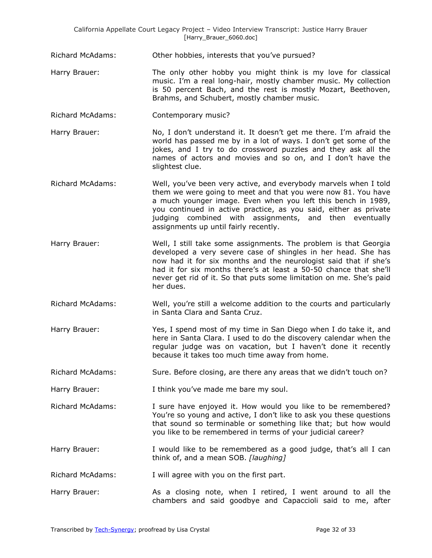Richard McAdams: Other hobbies, interests that you've pursued?

- Harry Brauer: The only other hobby you might think is my love for classical music. I'm a real long-hair, mostly chamber music. My collection is 50 percent Bach, and the rest is mostly Mozart, Beethoven, Brahms, and Schubert, mostly chamber music.
- Richard McAdams: Contemporary music?
- Harry Brauer: No, I don't understand it. It doesn't get me there. I'm afraid the world has passed me by in a lot of ways. I don't get some of the jokes, and I try to do crossword puzzles and they ask all the names of actors and movies and so on, and I don't have the slightest clue.
- Richard McAdams: Well, you've been very active, and everybody marvels when I told them we were going to meet and that you were now 81. You have a much younger image. Even when you left this bench in 1989, you continued in active practice, as you said, either as private judging combined with assignments, and then eventually assignments up until fairly recently.
- Harry Brauer: Well, I still take some assignments. The problem is that Georgia developed a very severe case of shingles in her head. She has now had it for six months and the neurologist said that if she's had it for six months there's at least a 50-50 chance that she'll never get rid of it. So that puts some limitation on me. She's paid her dues.
- Richard McAdams: Well, you're still a welcome addition to the courts and particularly in Santa Clara and Santa Cruz.
- Harry Brauer: Yes, I spend most of my time in San Diego when I do take it, and here in Santa Clara. I used to do the discovery calendar when the regular judge was on vacation, but I haven't done it recently because it takes too much time away from home.

Richard McAdams: Sure. Before closing, are there any areas that we didn't touch on?

- Harry Brauer: I think you've made me bare my soul.
- Richard McAdams: I sure have enjoyed it. How would you like to be remembered? You're so young and active, I don't like to ask you these questions that sound so terminable or something like that; but how would you like to be remembered in terms of your judicial career?
- Harry Brauer: I would like to be remembered as a good judge, that's all I can think of, and a mean SOB. *[laughing]*

Richard McAdams: I will agree with you on the first part.

Harry Brauer: As a closing note, when I retired, I went around to all the chambers and said goodbye and Capaccioli said to me, after